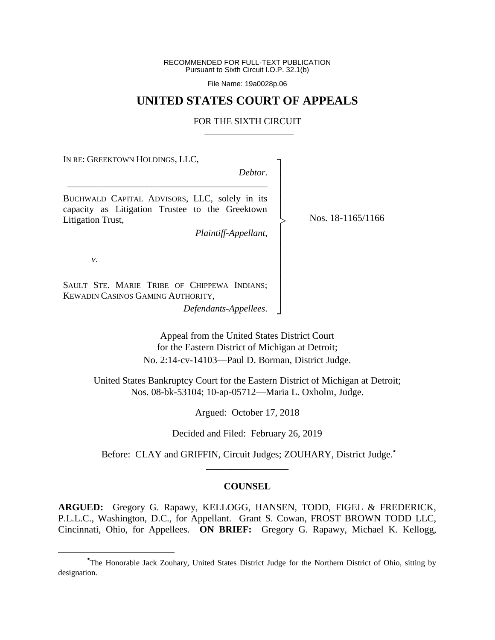RECOMMENDED FOR FULL-TEXT PUBLICATION Pursuant to Sixth Circuit I.O.P. 32.1(b)

File Name: 19a0028p.06

### **UNITED STATES COURT OF APPEALS**

#### FOR THE SIXTH CIRCUIT

IN RE: GREEKTOWN HOLDINGS, LLC,

*Debtor*.

┐ │ │ │ │ │ │ │ │ │ │ │ │ │ ┘

|<br>|<br>|

BUCHWALD CAPITAL ADVISORS, LLC, solely in its capacity as Litigation Trustee to the Greektown Litigation Trust,

\_\_\_\_\_\_\_\_\_\_\_\_\_\_\_\_\_\_\_\_\_\_\_\_\_\_\_\_\_\_\_\_\_\_\_\_\_\_\_\_\_\_\_

*Plaintiff-Appellant*,

Nos. 18-1165/1166

*v*.

 $\overline{a}$ 

SAULT STE. MARIE TRIBE OF CHIPPEWA INDIANS; KEWADIN CASINOS GAMING AUTHORITY,

*Defendants-Appellees*.

Appeal from the United States District Court for the Eastern District of Michigan at Detroit; No. 2:14-cv-14103—Paul D. Borman, District Judge.

United States Bankruptcy Court for the Eastern District of Michigan at Detroit; Nos. 08-bk-53104; 10-ap-05712—Maria L. Oxholm, Judge.

Argued: October 17, 2018

Decided and Filed: February 26, 2019

Before: CLAY and GRIFFIN, Circuit Judges; ZOUHARY, District Judge.**\*** \_\_\_\_\_\_\_\_\_\_\_\_\_\_\_\_\_

#### **COUNSEL**

**ARGUED:** Gregory G. Rapawy, KELLOGG, HANSEN, TODD, FIGEL & FREDERICK, P.L.L.C., Washington, D.C., for Appellant. Grant S. Cowan, FROST BROWN TODD LLC, Cincinnati, Ohio, for Appellees. **ON BRIEF:** Gregory G. Rapawy, Michael K. Kellogg,

**<sup>\*</sup>**The Honorable Jack Zouhary, United States District Judge for the Northern District of Ohio, sitting by designation.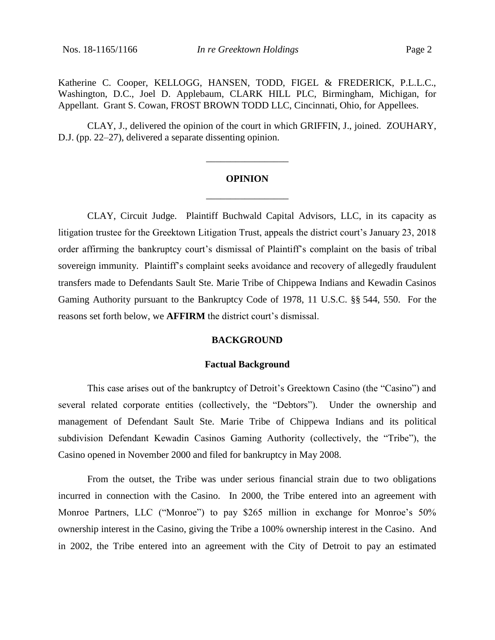CLAY, J., delivered the opinion of the court in which GRIFFIN, J., joined. ZOUHARY, D.J. (pp. 22–27), delivered a separate dissenting opinion.

# **OPINION** \_\_\_\_\_\_\_\_\_\_\_\_\_\_\_\_\_

\_\_\_\_\_\_\_\_\_\_\_\_\_\_\_\_\_

CLAY, Circuit Judge. Plaintiff Buchwald Capital Advisors, LLC, in its capacity as litigation trustee for the Greektown Litigation Trust, appeals the district court's January 23, 2018 order affirming the bankruptcy court's dismissal of Plaintiff's complaint on the basis of tribal sovereign immunity. Plaintiff's complaint seeks avoidance and recovery of allegedly fraudulent transfers made to Defendants Sault Ste. Marie Tribe of Chippewa Indians and Kewadin Casinos Gaming Authority pursuant to the Bankruptcy Code of 1978, 11 U.S.C. §§ 544, 550. For the reasons set forth below, we **AFFIRM** the district court's dismissal.

#### **BACKGROUND**

#### **Factual Background**

This case arises out of the bankruptcy of Detroit's Greektown Casino (the "Casino") and several related corporate entities (collectively, the "Debtors"). Under the ownership and management of Defendant Sault Ste. Marie Tribe of Chippewa Indians and its political subdivision Defendant Kewadin Casinos Gaming Authority (collectively, the "Tribe"), the Casino opened in November 2000 and filed for bankruptcy in May 2008.

From the outset, the Tribe was under serious financial strain due to two obligations incurred in connection with the Casino. In 2000, the Tribe entered into an agreement with Monroe Partners, LLC ("Monroe") to pay \$265 million in exchange for Monroe's 50% ownership interest in the Casino, giving the Tribe a 100% ownership interest in the Casino. And in 2002, the Tribe entered into an agreement with the City of Detroit to pay an estimated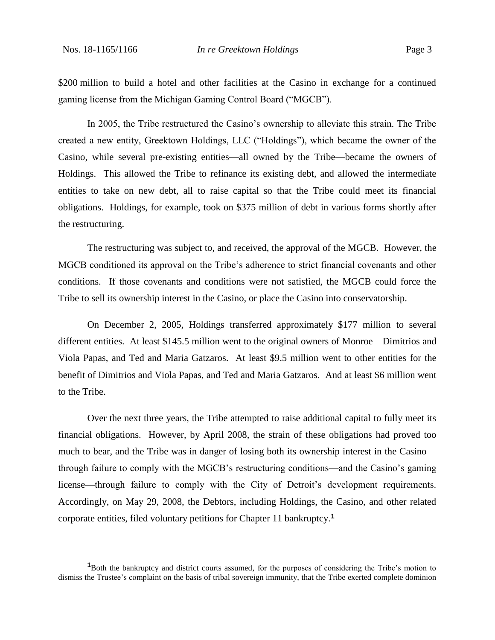\$200 million to build a hotel and other facilities at the Casino in exchange for a continued gaming license from the Michigan Gaming Control Board ("MGCB").

In 2005, the Tribe restructured the Casino's ownership to alleviate this strain. The Tribe created a new entity, Greektown Holdings, LLC ("Holdings"), which became the owner of the Casino, while several pre-existing entities—all owned by the Tribe—became the owners of Holdings. This allowed the Tribe to refinance its existing debt, and allowed the intermediate entities to take on new debt, all to raise capital so that the Tribe could meet its financial obligations. Holdings, for example, took on \$375 million of debt in various forms shortly after the restructuring.

The restructuring was subject to, and received, the approval of the MGCB. However, the MGCB conditioned its approval on the Tribe's adherence to strict financial covenants and other conditions. If those covenants and conditions were not satisfied, the MGCB could force the Tribe to sell its ownership interest in the Casino, or place the Casino into conservatorship.

On December 2, 2005, Holdings transferred approximately \$177 million to several different entities. At least \$145.5 million went to the original owners of Monroe—Dimitrios and Viola Papas, and Ted and Maria Gatzaros. At least \$9.5 million went to other entities for the benefit of Dimitrios and Viola Papas, and Ted and Maria Gatzaros. And at least \$6 million went to the Tribe.

Over the next three years, the Tribe attempted to raise additional capital to fully meet its financial obligations. However, by April 2008, the strain of these obligations had proved too much to bear, and the Tribe was in danger of losing both its ownership interest in the Casino through failure to comply with the MGCB's restructuring conditions—and the Casino's gaming license—through failure to comply with the City of Detroit's development requirements. Accordingly, on May 29, 2008, the Debtors, including Holdings, the Casino, and other related corporate entities, filed voluntary petitions for Chapter 11 bankruptcy.**<sup>1</sup>**

**<sup>1</sup>**Both the bankruptcy and district courts assumed, for the purposes of considering the Tribe's motion to dismiss the Trustee's complaint on the basis of tribal sovereign immunity, that the Tribe exerted complete dominion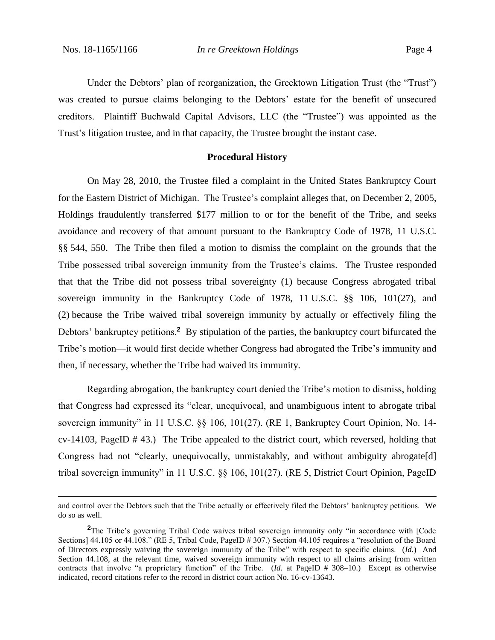Under the Debtors' plan of reorganization, the Greektown Litigation Trust (the "Trust") was created to pursue claims belonging to the Debtors' estate for the benefit of unsecured creditors. Plaintiff Buchwald Capital Advisors, LLC (the "Trustee") was appointed as the Trust's litigation trustee, and in that capacity, the Trustee brought the instant case.

#### **Procedural History**

On May 28, 2010, the Trustee filed a complaint in the United States Bankruptcy Court for the Eastern District of Michigan. The Trustee's complaint alleges that, on December 2, 2005, Holdings fraudulently transferred \$177 million to or for the benefit of the Tribe, and seeks avoidance and recovery of that amount pursuant to the Bankruptcy Code of 1978, 11 U.S.C. §§ 544, 550. The Tribe then filed a motion to dismiss the complaint on the grounds that the Tribe possessed tribal sovereign immunity from the Trustee's claims. The Trustee responded that that the Tribe did not possess tribal sovereignty (1) because Congress abrogated tribal sovereign immunity in the Bankruptcy Code of 1978, 11 U.S.C. §§ 106, 101(27), and (2) because the Tribe waived tribal sovereign immunity by actually or effectively filing the Debtors' bankruptcy petitions.<sup>2</sup> By stipulation of the parties, the bankruptcy court bifurcated the Tribe's motion—it would first decide whether Congress had abrogated the Tribe's immunity and then, if necessary, whether the Tribe had waived its immunity.

Regarding abrogation, the bankruptcy court denied the Tribe's motion to dismiss, holding that Congress had expressed its "clear, unequivocal, and unambiguous intent to abrogate tribal sovereign immunity" in 11 U.S.C. §§ 106, 101(27). (RE 1, Bankruptcy Court Opinion, No. 14 cv-14103, PageID # 43.) The Tribe appealed to the district court, which reversed, holding that Congress had not "clearly, unequivocally, unmistakably, and without ambiguity abrogate[d] tribal sovereign immunity" in 11 U.S.C. §§ 106, 101(27). (RE 5, District Court Opinion, PageID

and control over the Debtors such that the Tribe actually or effectively filed the Debtors' bankruptcy petitions. We do so as well.

**<sup>2</sup>**The Tribe's governing Tribal Code waives tribal sovereign immunity only "in accordance with [Code Sections] 44.105 or 44.108." (RE 5, Tribal Code, PageID # 307.) Section 44.105 requires a "resolution of the Board of Directors expressly waiving the sovereign immunity of the Tribe" with respect to specific claims. (*Id.*) And Section 44.108, at the relevant time, waived sovereign immunity with respect to all claims arising from written contracts that involve "a proprietary function" of the Tribe. (*Id.* at PageID # 308–10.) Except as otherwise indicated, record citations refer to the record in district court action No. 16-cv-13643.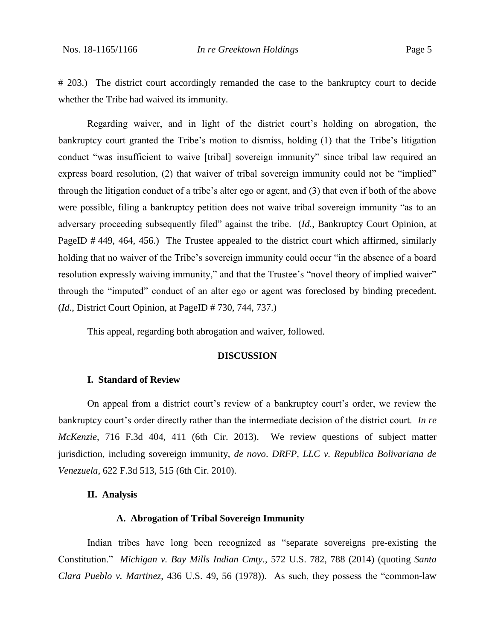# 203.) The district court accordingly remanded the case to the bankruptcy court to decide whether the Tribe had waived its immunity.

Regarding waiver, and in light of the district court's holding on abrogation, the bankruptcy court granted the Tribe's motion to dismiss, holding (1) that the Tribe's litigation conduct "was insufficient to waive [tribal] sovereign immunity" since tribal law required an express board resolution, (2) that waiver of tribal sovereign immunity could not be "implied" through the litigation conduct of a tribe's alter ego or agent, and (3) that even if both of the above were possible, filing a bankruptcy petition does not waive tribal sovereign immunity "as to an adversary proceeding subsequently filed" against the tribe. (*Id.*, Bankruptcy Court Opinion, at PageID #449, 464, 456.) The Trustee appealed to the district court which affirmed, similarly holding that no waiver of the Tribe's sovereign immunity could occur "in the absence of a board resolution expressly waiving immunity," and that the Trustee's "novel theory of implied waiver" through the "imputed" conduct of an alter ego or agent was foreclosed by binding precedent. (*Id.*, District Court Opinion, at PageID # 730, 744, 737.)

This appeal, regarding both abrogation and waiver, followed.

### **DISCUSSION**

#### **I. Standard of Review**

On appeal from a district court's review of a bankruptcy court's order, we review the bankruptcy court's order directly rather than the intermediate decision of the district court. *In re McKenzie*, 716 F.3d 404, 411 (6th Cir. 2013). We review questions of subject matter jurisdiction, including sovereign immunity, *de novo*. *DRFP, LLC v. Republica Bolivariana de Venezuela*, 622 F.3d 513, 515 (6th Cir. 2010).

#### **II. Analysis**

#### **A. Abrogation of Tribal Sovereign Immunity**

Indian tribes have long been recognized as "separate sovereigns pre-existing the Constitution." *Michigan v. Bay Mills Indian Cmty.*, 572 U.S. 782, 788 (2014) (quoting *Santa Clara Pueblo v. Martinez*, 436 U.S. 49, 56 (1978)). As such, they possess the "common-law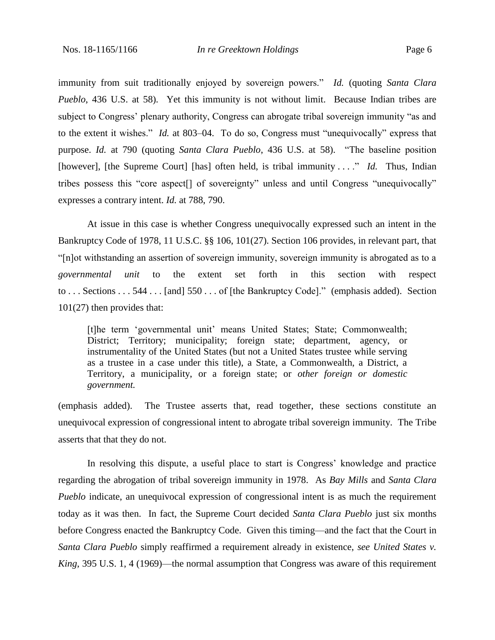immunity from suit traditionally enjoyed by sovereign powers." *Id.* (quoting *Santa Clara Pueblo*, 436 U.S. at 58). Yet this immunity is not without limit. Because Indian tribes are subject to Congress' plenary authority, Congress can abrogate tribal sovereign immunity "as and to the extent it wishes." *Id.* at 803–04. To do so, Congress must "unequivocally" express that purpose. *Id.* at 790 (quoting *Santa Clara Pueblo*, 436 U.S. at 58). "The baseline position [however], [the Supreme Court] [has] often held, is tribal immunity . . . ." *Id.* Thus, Indian tribes possess this "core aspect[] of sovereignty" unless and until Congress "unequivocally" expresses a contrary intent. *Id.* at 788, 790.

At issue in this case is whether Congress unequivocally expressed such an intent in the Bankruptcy Code of 1978, 11 U.S.C. §§ 106, 101(27). Section 106 provides, in relevant part, that "[n]ot withstanding an assertion of sovereign immunity, sovereign immunity is abrogated as to a *governmental unit* to the extent set forth in this section with respect to . . . Sections . . . 544 . . . [and] 550 . . . of [the Bankruptcy Code]." (emphasis added). Section 101(27) then provides that:

[t]he term 'governmental unit' means United States; State; Commonwealth; District; Territory; municipality; foreign state; department, agency, or instrumentality of the United States (but not a United States trustee while serving as a trustee in a case under this title), a State, a Commonwealth, a District, a Territory, a municipality, or a foreign state; or *other foreign or domestic government.*

(emphasis added). The Trustee asserts that, read together, these sections constitute an unequivocal expression of congressional intent to abrogate tribal sovereign immunity. The Tribe asserts that that they do not.

In resolving this dispute, a useful place to start is Congress' knowledge and practice regarding the abrogation of tribal sovereign immunity in 1978. As *Bay Mills* and *Santa Clara Pueblo* indicate, an unequivocal expression of congressional intent is as much the requirement today as it was then. In fact, the Supreme Court decided *Santa Clara Pueblo* just six months before Congress enacted the Bankruptcy Code. Given this timing—and the fact that the Court in *Santa Clara Pueblo* simply reaffirmed a requirement already in existence, *see United States v. King*, 395 U.S. 1, 4 (1969)—the normal assumption that Congress was aware of this requirement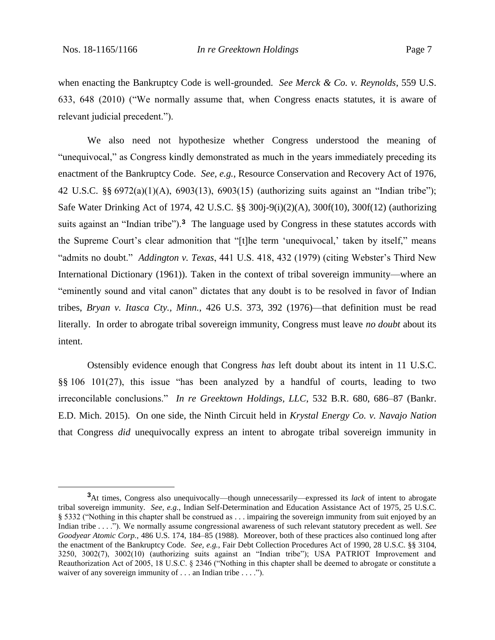when enacting the Bankruptcy Code is well-grounded. *See Merck & Co. v. Reynolds*, 559 U.S. 633, 648 (2010) ("We normally assume that, when Congress enacts statutes, it is aware of relevant judicial precedent.").

We also need not hypothesize whether Congress understood the meaning of "unequivocal," as Congress kindly demonstrated as much in the years immediately preceding its enactment of the Bankruptcy Code. *See, e.g.*, Resource Conservation and Recovery Act of 1976, 42 U.S.C. §§ 6972(a)(1)(A), 6903(13), 6903(15) (authorizing suits against an "Indian tribe"); Safe Water Drinking Act of 1974, 42 U.S.C. §§ 300j-9(i)(2)(A), 300f(10), 300f(12) (authorizing suits against an "Indian tribe").**<sup>3</sup>** The language used by Congress in these statutes accords with the Supreme Court's clear admonition that "[t]he term 'unequivocal,' taken by itself," means "admits no doubt." *Addington v. Texas*, 441 U.S. 418, 432 (1979) (citing Webster's Third New International Dictionary (1961)). Taken in the context of tribal sovereign immunity—where an "eminently sound and vital canon" dictates that any doubt is to be resolved in favor of Indian tribes, *Bryan v. Itasca Cty., Minn.*, 426 U.S. 373, 392 (1976)—that definition must be read literally. In order to abrogate tribal sovereign immunity, Congress must leave *no doubt* about its intent.

Ostensibly evidence enough that Congress *has* left doubt about its intent in 11 U.S.C. §§ 106 101(27), this issue "has been analyzed by a handful of courts, leading to two irreconcilable conclusions." *In re Greektown Holdings, LLC*, 532 B.R. 680, 686–87 (Bankr. E.D. Mich. 2015). On one side, the Ninth Circuit held in *Krystal Energy Co. v. Navajo Nation*  that Congress *did* unequivocally express an intent to abrogate tribal sovereign immunity in

**<sup>3</sup>**At times, Congress also unequivocally—though unnecessarily—expressed its *lack* of intent to abrogate tribal sovereign immunity. *See, e.g.*, Indian Self-Determination and Education Assistance Act of 1975, 25 U.S.C. § 5332 ("Nothing in this chapter shall be construed as . . . impairing the sovereign immunity from suit enjoyed by an Indian tribe . . . ."). We normally assume congressional awareness of such relevant statutory precedent as well. *See Goodyear Atomic Corp.*, 486 U.S. 174, 184–85 (1988). Moreover, both of these practices also continued long after the enactment of the Bankruptcy Code. *See, e.g.*, Fair Debt Collection Procedures Act of 1990, 28 U.S.C. §§ 3104, 3250, 3002(7), 3002(10) (authorizing suits against an "Indian tribe"); USA PATRIOT Improvement and Reauthorization Act of 2005, 18 U.S.C. § 2346 ("Nothing in this chapter shall be deemed to abrogate or constitute a waiver of any sovereign immunity of . . . an Indian tribe . . . .").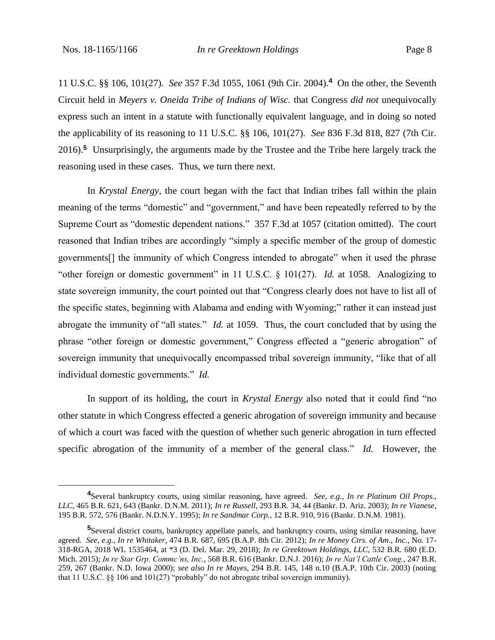11 U.S.C. §§ 106, 101(27). *See* 357 F.3d 1055, 1061 (9th Cir. 2004).**<sup>4</sup>** On the other, the Seventh Circuit held in *Meyers v. Oneida Tribe of Indians of Wisc.* that Congress *did not* unequivocally express such an intent in a statute with functionally equivalent language, and in doing so noted the applicability of its reasoning to 11 U.S.C. §§ 106, 101(27). *See* 836 F.3d 818, 827 (7th Cir. 2016). **<sup>5</sup>** Unsurprisingly, the arguments made by the Trustee and the Tribe here largely track the reasoning used in these cases. Thus, we turn there next.

In *Krystal Energy*, the court began with the fact that Indian tribes fall within the plain meaning of the terms "domestic" and "government," and have been repeatedly referred to by the Supreme Court as "domestic dependent nations." 357 F.3d at 1057 (citation omitted). The court reasoned that Indian tribes are accordingly "simply a specific member of the group of domestic governments[] the immunity of which Congress intended to abrogate" when it used the phrase "other foreign or domestic government" in 11 U.S.C. § 101(27). *Id.* at 1058. Analogizing to state sovereign immunity, the court pointed out that "Congress clearly does not have to list all of the specific states, beginning with Alabama and ending with Wyoming;" rather it can instead just abrogate the immunity of "all states." *Id.* at 1059. Thus, the court concluded that by using the phrase "other foreign or domestic government," Congress effected a "generic abrogation" of sovereign immunity that unequivocally encompassed tribal sovereign immunity, "like that of all individual domestic governments." *Id.*

In support of its holding, the court in *Krystal Energy* also noted that it could find "no other statute in which Congress effected a generic abrogation of sovereign immunity and because of which a court was faced with the question of whether such generic abrogation in turn effected specific abrogation of the immunity of a member of the general class." *Id.* However, the

**<sup>4</sup>**Several bankruptcy courts, using similar reasoning, have agreed. *See, e.g.*, *In re Platinum Oil Props., LLC*, 465 B.R. 621, 643 (Bankr. D.N.M. 2011); *In re Russell*, 293 B.R. 34, 44 (Bankr. D. Ariz. 2003); *In re Vianese*, 195 B.R. 572, 576 (Bankr. N.D.N.Y. 1995); *In re Sandmar Corp.*, 12 B.R. 910, 916 (Bankr. D.N.M. 1981).

**<sup>5</sup>**Several district courts, bankruptcy appellate panels, and bankruptcy courts, using similar reasoning, have agreed. *See, e.g.*, *In re Whitaker*, 474 B.R. 687, 695 (B.A.P. 8th Cir. 2012); *In re Money Ctrs. of Am., Inc.*, No. 17- 318-RGA, 2018 WL 1535464, at \*3 (D. Del. Mar. 29, 2018); *In re Greektown Holdings, LLC*, 532 B.R. 680 (E.D. Mich. 2015); *In re Star Grp. Commc'ns, Inc.*, 568 B.R. 616 (Bankr. D.N.J. 2016); *In re Nat'l Cattle Cong.*, 247 B.R. 259, 267 (Bankr. N.D. Iowa 2000); *see also In re Mayes*, 294 B.R. 145, 148 n.10 (B.A.P. 10th Cir. 2003) (noting that 11 U.S.C. §§ 106 and 101(27) "probably" do not abrogate tribal sovereign immunity).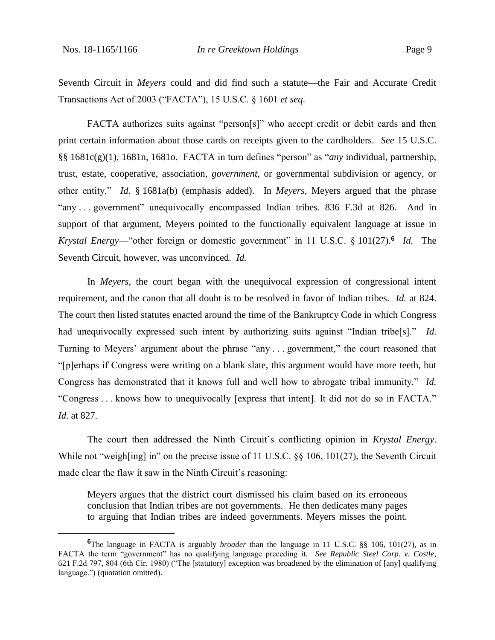Seventh Circuit in *Meyers* could and did find such a statute—the Fair and Accurate Credit Transactions Act of 2003 ("FACTA"), 15 U.S.C. § 1601 *et seq*.

FACTA authorizes suits against "person[s]" who accept credit or debit cards and then print certain information about those cards on receipts given to the cardholders. *See* 15 U.S.C. §§ 1681c(g)(1), 1681n, 1681o. FACTA in turn defines "person" as "*any* individual, partnership, trust, estate, cooperative, association, *government*, or governmental subdivision or agency, or other entity." *Id.* § 1681a(b) (emphasis added). In *Meyers*, Meyers argued that the phrase "any . . . government" unequivocally encompassed Indian tribes. 836 F.3d at 826. And in support of that argument, Meyers pointed to the functionally equivalent language at issue in *Krystal Energy*—"other foreign or domestic government" in 11 U.S.C. § 101(27).**<sup>6</sup>** *Id.* The Seventh Circuit, however, was unconvinced. *Id.*

In *Meyers*, the court began with the unequivocal expression of congressional intent requirement, and the canon that all doubt is to be resolved in favor of Indian tribes. *Id.* at 824. The court then listed statutes enacted around the time of the Bankruptcy Code in which Congress had unequivocally expressed such intent by authorizing suits against "Indian tribe[s]." *Id.*  Turning to Meyers' argument about the phrase "any . . . government," the court reasoned that "[p]erhaps if Congress were writing on a blank slate, this argument would have more teeth, but Congress has demonstrated that it knows full and well how to abrogate tribal immunity." *Id.*  "Congress . . . knows how to unequivocally [express that intent]. It did not do so in FACTA." *Id.* at 827.

The court then addressed the Ninth Circuit's conflicting opinion in *Krystal Energy*. While not "weigh[ing] in" on the precise issue of 11 U.S.C. §§ 106, 101(27), the Seventh Circuit made clear the flaw it saw in the Ninth Circuit's reasoning:

Meyers argues that the district court dismissed his claim based on its erroneous conclusion that Indian tribes are not governments. He then dedicates many pages to arguing that Indian tribes are indeed governments. Meyers misses the point.

**<sup>6</sup>**The language in FACTA is arguably *broader* than the language in 11 U.S.C. §§ 106, 101(27), as in FACTA the term "government" has no qualifying language preceding it. *See Republic Steel Corp. v. Costle*, 621 F.2d 797, 804 (6th Cir. 1980) ("The [statutory] exception was broadened by the elimination of [any] qualifying language.") (quotation omitted).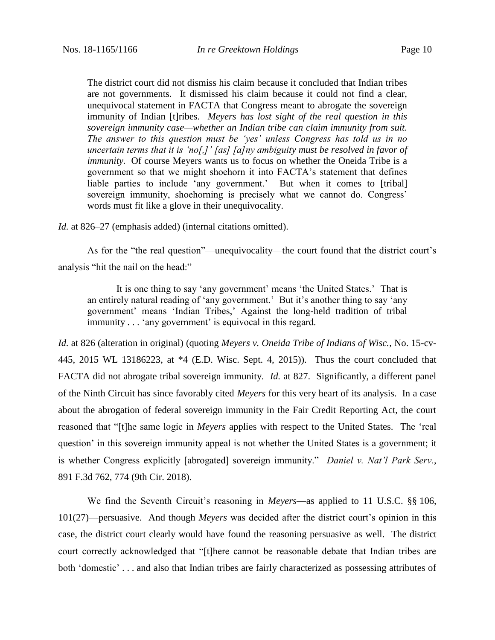The district court did not dismiss his claim because it concluded that Indian tribes are not governments. It dismissed his claim because it could not find a clear, unequivocal statement in FACTA that Congress meant to abrogate the sovereign immunity of Indian [t]ribes. *Meyers has lost sight of the real question in this sovereign immunity case—whether an Indian tribe can claim immunity from suit. The answer to this question must be 'yes' unless Congress has told us in no uncertain terms that it is 'no[,]' [as] [a]ny ambiguity must be resolved in favor of immunity.* Of course Meyers wants us to focus on whether the Oneida Tribe is a government so that we might shoehorn it into FACTA's statement that defines liable parties to include 'any government.' But when it comes to [tribal] sovereign immunity, shoehorning is precisely what we cannot do. Congress' words must fit like a glove in their unequivocality.

*Id.* at 826–27 (emphasis added) (internal citations omitted).

As for the "the real question"—unequivocality—the court found that the district court's analysis "hit the nail on the head:"

It is one thing to say 'any government' means 'the United States.' That is an entirely natural reading of 'any government.' But it's another thing to say 'any government' means 'Indian Tribes,' Against the long-held tradition of tribal immunity . . . 'any government' is equivocal in this regard.

*Id.* at 826 (alteration in original) (quoting *Meyers v. Oneida Tribe of Indians of Wisc.*, No. 15-cv-445, 2015 WL 13186223, at \*4 (E.D. Wisc. Sept. 4, 2015)). Thus the court concluded that FACTA did not abrogate tribal sovereign immunity. *Id.* at 827. Significantly, a different panel of the Ninth Circuit has since favorably cited *Meyers* for this very heart of its analysis. In a case about the abrogation of federal sovereign immunity in the Fair Credit Reporting Act, the court reasoned that "[t]he same logic in *Meyers* applies with respect to the United States. The 'real question' in this sovereign immunity appeal is not whether the United States is a government; it is whether Congress explicitly [abrogated] sovereign immunity." *Daniel v. Nat'l Park Serv.*, 891 F.3d 762, 774 (9th Cir. 2018).

We find the Seventh Circuit's reasoning in *Meyers*—as applied to 11 U.S.C. §§ 106, 101(27)—persuasive. And though *Meyers* was decided after the district court's opinion in this case, the district court clearly would have found the reasoning persuasive as well. The district court correctly acknowledged that "[t]here cannot be reasonable debate that Indian tribes are both 'domestic' . . . and also that Indian tribes are fairly characterized as possessing attributes of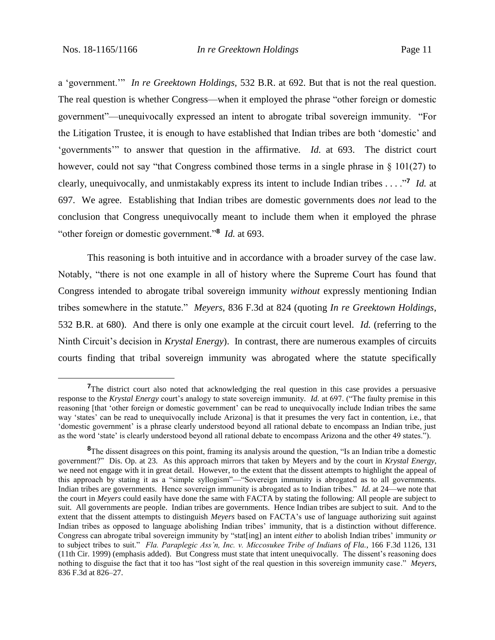a 'government.'" *In re Greektown Holdings,* 532 B.R. at 692. But that is not the real question. The real question is whether Congress—when it employed the phrase "other foreign or domestic government"—unequivocally expressed an intent to abrogate tribal sovereign immunity. "For the Litigation Trustee, it is enough to have established that Indian tribes are both 'domestic' and 'governments'" to answer that question in the affirmative. *Id.* at 693. The district court however, could not say "that Congress combined those terms in a single phrase in  $\S$  101(27) to clearly, unequivocally, and unmistakably express its intent to include Indian tribes . . . ."**<sup>7</sup>** *Id.* at 697. We agree. Establishing that Indian tribes are domestic governments does *not* lead to the conclusion that Congress unequivocally meant to include them when it employed the phrase "other foreign or domestic government."**<sup>8</sup>** *Id.* at 693.

This reasoning is both intuitive and in accordance with a broader survey of the case law. Notably, "there is not one example in all of history where the Supreme Court has found that Congress intended to abrogate tribal sovereign immunity *without* expressly mentioning Indian tribes somewhere in the statute." *Meyers*, 836 F.3d at 824 (quoting *In re Greektown Holdings*, 532 B.R. at 680). And there is only one example at the circuit court level. *Id.* (referring to the Ninth Circuit's decision in *Krystal Energy*). In contrast, there are numerous examples of circuits courts finding that tribal sovereign immunity was abrogated where the statute specifically

<sup>&</sup>lt;sup>7</sup>The district court also noted that acknowledging the real question in this case provides a persuasive response to the *Krystal Energy* court's analogy to state sovereign immunity. *Id.* at 697. ("The faulty premise in this reasoning [that 'other foreign or domestic government' can be read to unequivocally include Indian tribes the same way 'states' can be read to unequivocally include Arizona] is that it presumes the very fact in contention, i.e., that 'domestic government' is a phrase clearly understood beyond all rational debate to encompass an Indian tribe, just as the word 'state' is clearly understood beyond all rational debate to encompass Arizona and the other 49 states.").

<sup>&</sup>lt;sup>8</sup>The dissent disagrees on this point, framing its analysis around the question, "Is an Indian tribe a domestic government?" Dis. Op. at 23. As this approach mirrors that taken by Meyers and by the court in *Krystal Energy*, we need not engage with it in great detail. However, to the extent that the dissent attempts to highlight the appeal of this approach by stating it as a "simple syllogism"—"Sovereign immunity is abrogated as to all governments. Indian tribes are governments. Hence sovereign immunity is abrogated as to Indian tribes." *Id.* at 24—we note that the court in *Meyers* could easily have done the same with FACTA by stating the following: All people are subject to suit. All governments are people. Indian tribes are governments. Hence Indian tribes are subject to suit. And to the extent that the dissent attempts to distinguish *Meyers* based on FACTA's use of language authorizing suit against Indian tribes as opposed to language abolishing Indian tribes' immunity, that is a distinction without difference. Congress can abrogate tribal sovereign immunity by "stat[ing] an intent *either* to abolish Indian tribes' immunity *or* to subject tribes to suit." *Fla. Paraplegic Ass'n, Inc. v. Miccosukee Tribe of Indians of Fla.*, 166 F.3d 1126, 131 (11th Cir. 1999) (emphasis added). But Congress must state that intent unequivocally. The dissent's reasoning does nothing to disguise the fact that it too has "lost sight of the real question in this sovereign immunity case." *Meyers*, 836 F.3d at 826–27.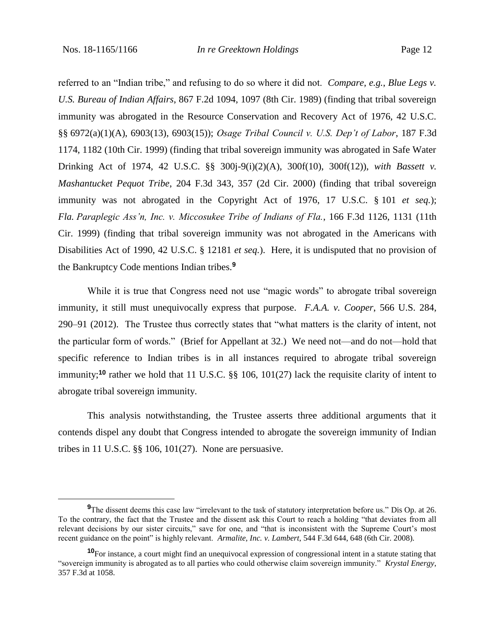referred to an "Indian tribe," and refusing to do so where it did not. *Compare, e.g.*, *Blue Legs v. U.S. Bureau of Indian Affairs*, 867 F.2d 1094, 1097 (8th Cir. 1989) (finding that tribal sovereign immunity was abrogated in the Resource Conservation and Recovery Act of 1976, 42 U.S.C. §§ 6972(a)(1)(A), 6903(13), 6903(15)); *Osage Tribal Council v. U.S. Dep't of Labor*, 187 F.3d 1174, 1182 (10th Cir. 1999) (finding that tribal sovereign immunity was abrogated in Safe Water Drinking Act of 1974, 42 U.S.C. §§ 300j-9(i)(2)(A), 300f(10), 300f(12)), *with Bassett v. Mashantucket Pequot Tribe*, 204 F.3d 343, 357 (2d Cir. 2000) (finding that tribal sovereign immunity was not abrogated in the Copyright Act of 1976, 17 U.S.C. § 101 *et seq.*); *Fla. Paraplegic Ass'n, Inc. v. Miccosukee Tribe of Indians of Fla.*, 166 F.3d 1126, 1131 (11th Cir. 1999) (finding that tribal sovereign immunity was not abrogated in the Americans with Disabilities Act of 1990, 42 U.S.C. § 12181 *et seq.*). Here, it is undisputed that no provision of the Bankruptcy Code mentions Indian tribes.**<sup>9</sup>**

While it is true that Congress need not use "magic words" to abrogate tribal sovereign immunity, it still must unequivocally express that purpose. *F.A.A. v. Cooper*, 566 U.S. 284, 290–91 (2012). The Trustee thus correctly states that "what matters is the clarity of intent, not the particular form of words." (Brief for Appellant at 32.) We need not—and do not—hold that specific reference to Indian tribes is in all instances required to abrogate tribal sovereign immunity;**<sup>10</sup>** rather we hold that 11 U.S.C. §§ 106, 101(27) lack the requisite clarity of intent to abrogate tribal sovereign immunity.

This analysis notwithstanding, the Trustee asserts three additional arguments that it contends dispel any doubt that Congress intended to abrogate the sovereign immunity of Indian tribes in 11 U.S.C. §§ 106, 101(27). None are persuasive.

**<sup>9</sup>**The dissent deems this case law "irrelevant to the task of statutory interpretation before us." Dis Op. at 26. To the contrary, the fact that the Trustee and the dissent ask this Court to reach a holding "that deviates from all relevant decisions by our sister circuits," save for one, and "that is inconsistent with the Supreme Court's most recent guidance on the point" is highly relevant. *Armalite, Inc. v. Lambert*, 544 F.3d 644, 648 (6th Cir. 2008).

**<sup>10</sup>**For instance, a court might find an unequivocal expression of congressional intent in a statute stating that "sovereign immunity is abrogated as to all parties who could otherwise claim sovereign immunity." *Krystal Energy*, 357 F.3d at 1058.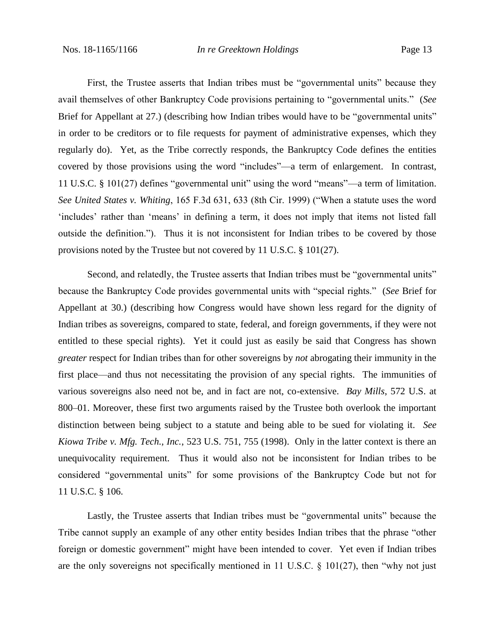First, the Trustee asserts that Indian tribes must be "governmental units" because they avail themselves of other Bankruptcy Code provisions pertaining to "governmental units." (*See* Brief for Appellant at 27.) (describing how Indian tribes would have to be "governmental units" in order to be creditors or to file requests for payment of administrative expenses, which they regularly do). Yet, as the Tribe correctly responds, the Bankruptcy Code defines the entities covered by those provisions using the word "includes"—a term of enlargement. In contrast, 11 U.S.C. § 101(27) defines "governmental unit" using the word "means"—a term of limitation. *See United States v. Whiting*, 165 F.3d 631, 633 (8th Cir. 1999) ("When a statute uses the word 'includes' rather than 'means' in defining a term, it does not imply that items not listed fall outside the definition."). Thus it is not inconsistent for Indian tribes to be covered by those provisions noted by the Trustee but not covered by 11 U.S.C. § 101(27).

Second, and relatedly, the Trustee asserts that Indian tribes must be "governmental units" because the Bankruptcy Code provides governmental units with "special rights." (*See* Brief for Appellant at 30.) (describing how Congress would have shown less regard for the dignity of Indian tribes as sovereigns, compared to state, federal, and foreign governments, if they were not entitled to these special rights). Yet it could just as easily be said that Congress has shown *greater* respect for Indian tribes than for other sovereigns by *not* abrogating their immunity in the first place—and thus not necessitating the provision of any special rights. The immunities of various sovereigns also need not be, and in fact are not, co-extensive. *Bay Mills*, 572 U.S. at 800–01. Moreover, these first two arguments raised by the Trustee both overlook the important distinction between being subject to a statute and being able to be sued for violating it. *See Kiowa Tribe v. Mfg. Tech., Inc.*, 523 U.S. 751, 755 (1998). Only in the latter context is there an unequivocality requirement. Thus it would also not be inconsistent for Indian tribes to be considered "governmental units" for some provisions of the Bankruptcy Code but not for 11 U.S.C. § 106.

Lastly, the Trustee asserts that Indian tribes must be "governmental units" because the Tribe cannot supply an example of any other entity besides Indian tribes that the phrase "other foreign or domestic government" might have been intended to cover. Yet even if Indian tribes are the only sovereigns not specifically mentioned in 11 U.S.C.  $\S$  101(27), then "why not just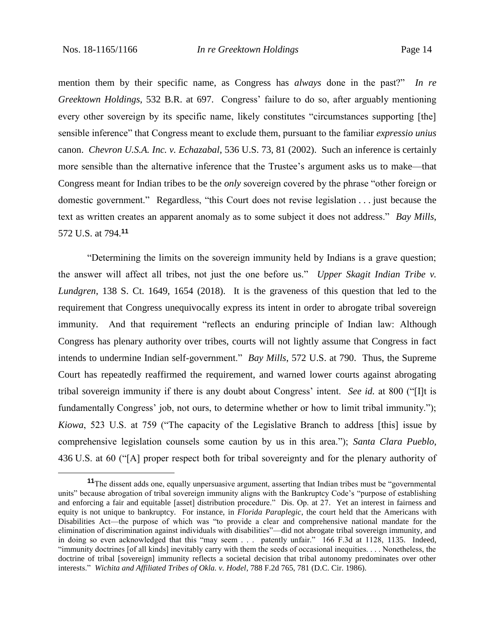mention them by their specific name, as Congress has *always* done in the past?" *In re Greektown Holdings*, 532 B.R. at 697. Congress' failure to do so, after arguably mentioning every other sovereign by its specific name, likely constitutes "circumstances supporting [the] sensible inference" that Congress meant to exclude them, pursuant to the familiar *expressio unius*  canon. *Chevron U.S.A. Inc. v. Echazabal*, 536 U.S. 73, 81 (2002). Such an inference is certainly more sensible than the alternative inference that the Trustee's argument asks us to make—that Congress meant for Indian tribes to be the *only* sovereign covered by the phrase "other foreign or domestic government." Regardless, "this Court does not revise legislation . . . just because the text as written creates an apparent anomaly as to some subject it does not address." *Bay Mills*, 572 U.S. at 794.**<sup>11</sup>**

"Determining the limits on the sovereign immunity held by Indians is a grave question; the answer will affect all tribes, not just the one before us." *Upper Skagit Indian Tribe v. Lundgren*, 138 S. Ct. 1649, 1654 (2018). It is the graveness of this question that led to the requirement that Congress unequivocally express its intent in order to abrogate tribal sovereign immunity. And that requirement "reflects an enduring principle of Indian law: Although Congress has plenary authority over tribes, courts will not lightly assume that Congress in fact intends to undermine Indian self-government." *Bay Mills*, 572 U.S. at 790. Thus, the Supreme Court has repeatedly reaffirmed the requirement, and warned lower courts against abrogating tribal sovereign immunity if there is any doubt about Congress' intent. *See id.* at 800 ("[I]t is fundamentally Congress' job, not ours, to determine whether or how to limit tribal immunity."); *Kiowa*, 523 U.S. at 759 ("The capacity of the Legislative Branch to address [this] issue by comprehensive legislation counsels some caution by us in this area."); *Santa Clara Pueblo*, 436 U.S. at 60 ("[A] proper respect both for tribal sovereignty and for the plenary authority of

**<sup>11</sup>**The dissent adds one, equally unpersuasive argument, asserting that Indian tribes must be "governmental units" because abrogation of tribal sovereign immunity aligns with the Bankruptcy Code's "purpose of establishing and enforcing a fair and equitable [asset] distribution procedure." Dis. Op. at 27. Yet an interest in fairness and equity is not unique to bankruptcy. For instance, in *Florida Paraplegic*, the court held that the Americans with Disabilities Act—the purpose of which was "to provide a clear and comprehensive national mandate for the elimination of discrimination against individuals with disabilities"—did not abrogate tribal sovereign immunity, and in doing so even acknowledged that this "may seem . . . patently unfair." 166 F.3d at 1128, 1135. Indeed, "immunity doctrines [of all kinds] inevitably carry with them the seeds of occasional inequities. . . . Nonetheless, the doctrine of tribal [sovereign] immunity reflects a societal decision that tribal autonomy predominates over other interests." *Wichita and Affiliated Tribes of Okla. v. Hodel*, 788 F.2d 765, 781 (D.C. Cir. 1986).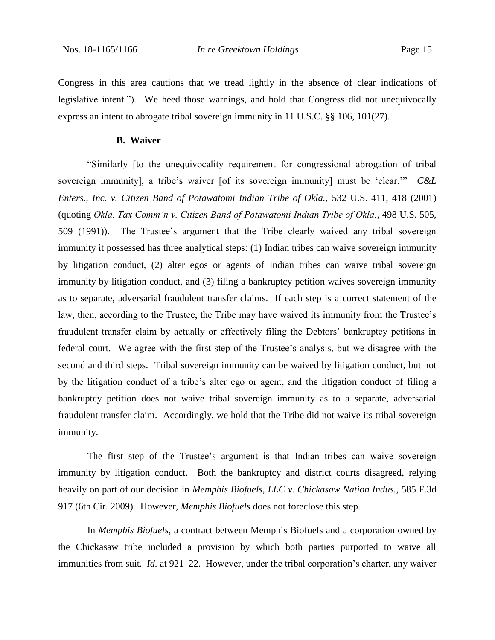Congress in this area cautions that we tread lightly in the absence of clear indications of legislative intent."). We heed those warnings, and hold that Congress did not unequivocally express an intent to abrogate tribal sovereign immunity in 11 U.S.C. §§ 106, 101(27).

#### **B. Waiver**

"Similarly [to the unequivocality requirement for congressional abrogation of tribal sovereign immunity], a tribe's waiver [of its sovereign immunity] must be 'clear.'" *C&L Enters., Inc. v. Citizen Band of Potawatomi Indian Tribe of Okla.*, 532 U.S. 411, 418 (2001) (quoting *Okla. Tax Comm'n v. Citizen Band of Potawatomi Indian Tribe of Okla.*, 498 U.S. 505, 509 (1991)). The Trustee's argument that the Tribe clearly waived any tribal sovereign immunity it possessed has three analytical steps: (1) Indian tribes can waive sovereign immunity by litigation conduct, (2) alter egos or agents of Indian tribes can waive tribal sovereign immunity by litigation conduct, and (3) filing a bankruptcy petition waives sovereign immunity as to separate, adversarial fraudulent transfer claims. If each step is a correct statement of the law, then, according to the Trustee, the Tribe may have waived its immunity from the Trustee's fraudulent transfer claim by actually or effectively filing the Debtors' bankruptcy petitions in federal court. We agree with the first step of the Trustee's analysis, but we disagree with the second and third steps. Tribal sovereign immunity can be waived by litigation conduct, but not by the litigation conduct of a tribe's alter ego or agent, and the litigation conduct of filing a bankruptcy petition does not waive tribal sovereign immunity as to a separate, adversarial fraudulent transfer claim. Accordingly, we hold that the Tribe did not waive its tribal sovereign immunity.

The first step of the Trustee's argument is that Indian tribes can waive sovereign immunity by litigation conduct. Both the bankruptcy and district courts disagreed, relying heavily on part of our decision in *Memphis Biofuels, LLC v. Chickasaw Nation Indus.*, 585 F.3d 917 (6th Cir. 2009). However, *Memphis Biofuels* does not foreclose this step.

In *Memphis Biofuels*, a contract between Memphis Biofuels and a corporation owned by the Chickasaw tribe included a provision by which both parties purported to waive all immunities from suit. *Id.* at 921–22. However, under the tribal corporation's charter, any waiver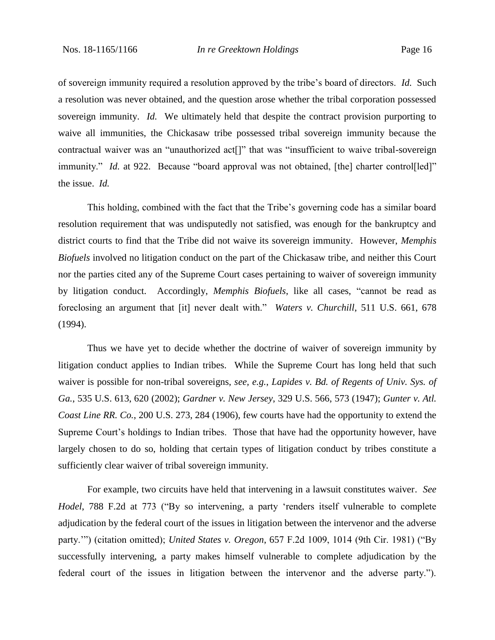of sovereign immunity required a resolution approved by the tribe's board of directors. *Id.* Such a resolution was never obtained, and the question arose whether the tribal corporation possessed sovereign immunity. *Id.* We ultimately held that despite the contract provision purporting to waive all immunities, the Chickasaw tribe possessed tribal sovereign immunity because the contractual waiver was an "unauthorized act[]" that was "insufficient to waive tribal-sovereign immunity." *Id.* at 922. Because "board approval was not obtained, [the] charter control[led]" the issue. *Id.*

This holding, combined with the fact that the Tribe's governing code has a similar board resolution requirement that was undisputedly not satisfied, was enough for the bankruptcy and district courts to find that the Tribe did not waive its sovereign immunity. However, *Memphis Biofuels* involved no litigation conduct on the part of the Chickasaw tribe, and neither this Court nor the parties cited any of the Supreme Court cases pertaining to waiver of sovereign immunity by litigation conduct. Accordingly, *Memphis Biofuels*, like all cases, "cannot be read as foreclosing an argument that [it] never dealt with." *Waters v. Churchill*, 511 U.S. 661, 678 (1994).

Thus we have yet to decide whether the doctrine of waiver of sovereign immunity by litigation conduct applies to Indian tribes. While the Supreme Court has long held that such waiver is possible for non-tribal sovereigns, *see, e.g.*, *Lapides v. Bd. of Regents of Univ. Sys. of Ga.*, 535 U.S. 613, 620 (2002); *Gardner v. New Jersey*, 329 U.S. 566, 573 (1947); *Gunter v. Atl. Coast Line RR. Co.*, 200 U.S. 273, 284 (1906), few courts have had the opportunity to extend the Supreme Court's holdings to Indian tribes. Those that have had the opportunity however, have largely chosen to do so, holding that certain types of litigation conduct by tribes constitute a sufficiently clear waiver of tribal sovereign immunity.

For example, two circuits have held that intervening in a lawsuit constitutes waiver. *See Hodel*, 788 F.2d at 773 ("By so intervening, a party 'renders itself vulnerable to complete adjudication by the federal court of the issues in litigation between the intervenor and the adverse party.'") (citation omitted); *United States v. Oregon*, 657 F.2d 1009, 1014 (9th Cir. 1981) ("By successfully intervening, a party makes himself vulnerable to complete adjudication by the federal court of the issues in litigation between the intervenor and the adverse party.").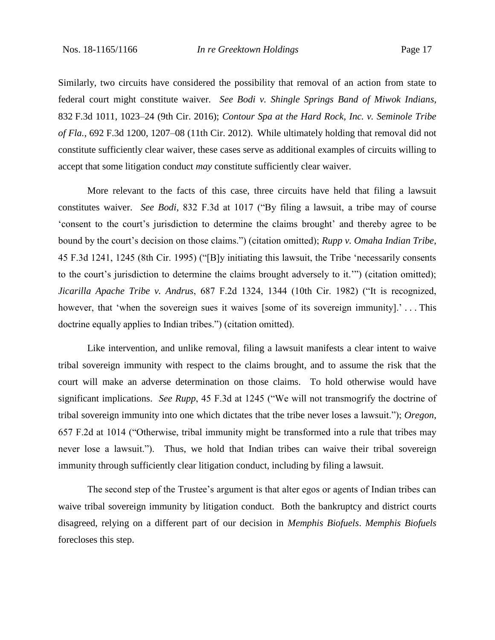Similarly, two circuits have considered the possibility that removal of an action from state to federal court might constitute waiver. *See Bodi v. Shingle Springs Band of Miwok Indians*, 832 F.3d 1011, 1023–24 (9th Cir. 2016); *Contour Spa at the Hard Rock, Inc. v. Seminole Tribe of Fla.*, 692 F.3d 1200, 1207–08 (11th Cir. 2012). While ultimately holding that removal did not constitute sufficiently clear waiver, these cases serve as additional examples of circuits willing to accept that some litigation conduct *may* constitute sufficiently clear waiver.

More relevant to the facts of this case, three circuits have held that filing a lawsuit constitutes waiver. *See Bodi*, 832 F.3d at 1017 ("By filing a lawsuit, a tribe may of course 'consent to the court's jurisdiction to determine the claims brought' and thereby agree to be bound by the court's decision on those claims.") (citation omitted); *Rupp v. Omaha Indian Tribe*, 45 F.3d 1241, 1245 (8th Cir. 1995) ("[B]y initiating this lawsuit, the Tribe 'necessarily consents to the court's jurisdiction to determine the claims brought adversely to it.'") (citation omitted); *Jicarilla Apache Tribe v. Andrus*, 687 F.2d 1324, 1344 (10th Cir. 1982) ("It is recognized, however, that 'when the sovereign sues it waives [some of its sovereign immunity].'...This doctrine equally applies to Indian tribes.") (citation omitted).

Like intervention, and unlike removal, filing a lawsuit manifests a clear intent to waive tribal sovereign immunity with respect to the claims brought, and to assume the risk that the court will make an adverse determination on those claims. To hold otherwise would have significant implications. *See Rupp*, 45 F.3d at 1245 ("We will not transmogrify the doctrine of tribal sovereign immunity into one which dictates that the tribe never loses a lawsuit."); *Oregon*, 657 F.2d at 1014 ("Otherwise, tribal immunity might be transformed into a rule that tribes may never lose a lawsuit."). Thus, we hold that Indian tribes can waive their tribal sovereign immunity through sufficiently clear litigation conduct, including by filing a lawsuit.

The second step of the Trustee's argument is that alter egos or agents of Indian tribes can waive tribal sovereign immunity by litigation conduct. Both the bankruptcy and district courts disagreed, relying on a different part of our decision in *Memphis Biofuels*. *Memphis Biofuels*  forecloses this step.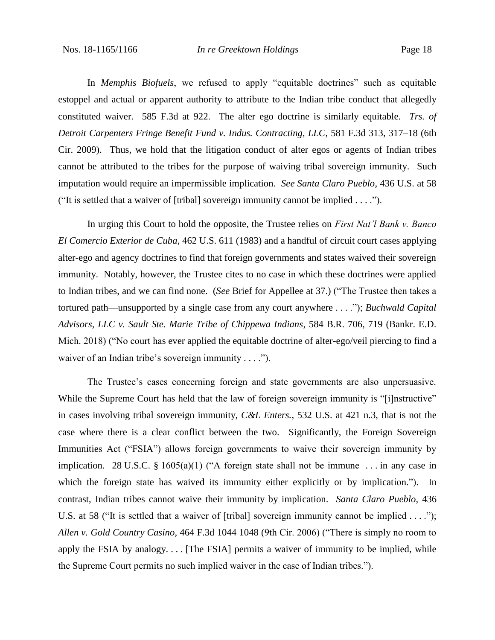In *Memphis Biofuels*, we refused to apply "equitable doctrines" such as equitable estoppel and actual or apparent authority to attribute to the Indian tribe conduct that allegedly constituted waiver. 585 F.3d at 922. The alter ego doctrine is similarly equitable. *Trs. of Detroit Carpenters Fringe Benefit Fund v. Indus. Contracting, LLC*, 581 F.3d 313, 317–18 (6th Cir. 2009). Thus, we hold that the litigation conduct of alter egos or agents of Indian tribes cannot be attributed to the tribes for the purpose of waiving tribal sovereign immunity. Such imputation would require an impermissible implication. *See Santa Claro Pueblo*, 436 U.S. at 58 ("It is settled that a waiver of [tribal] sovereign immunity cannot be implied . . . .").

In urging this Court to hold the opposite, the Trustee relies on *First Nat'l Bank v. Banco El Comercio Exterior de Cuba*, 462 U.S. 611 (1983) and a handful of circuit court cases applying alter-ego and agency doctrines to find that foreign governments and states waived their sovereign immunity. Notably, however, the Trustee cites to no case in which these doctrines were applied to Indian tribes, and we can find none. (*See* Brief for Appellee at 37.) ("The Trustee then takes a tortured path—unsupported by a single case from any court anywhere . . . ."); *Buchwald Capital Advisors, LLC v. Sault Ste. Marie Tribe of Chippewa Indians*, 584 B.R. 706, 719 (Bankr. E.D. Mich. 2018) ("No court has ever applied the equitable doctrine of alter-ego/veil piercing to find a waiver of an Indian tribe's sovereign immunity . . . .").

The Trustee's cases concerning foreign and state governments are also unpersuasive. While the Supreme Court has held that the law of foreign sovereign immunity is "[i]nstructive" in cases involving tribal sovereign immunity, *C&L Enters.*, 532 U.S. at 421 n.3, that is not the case where there is a clear conflict between the two. Significantly, the Foreign Sovereign Immunities Act ("FSIA") allows foreign governments to waive their sovereign immunity by implication. 28 U.S.C. § 1605(a)(1) ("A foreign state shall not be immune . . . in any case in which the foreign state has waived its immunity either explicitly or by implication."). In contrast, Indian tribes cannot waive their immunity by implication. *Santa Claro Pueblo*, 436 U.S. at 58 ("It is settled that a waiver of [tribal] sovereign immunity cannot be implied . . . "); *Allen v. Gold Country Casino*, 464 F.3d 1044 1048 (9th Cir. 2006) ("There is simply no room to apply the FSIA by analogy. . . . [The FSIA] permits a waiver of immunity to be implied, while the Supreme Court permits no such implied waiver in the case of Indian tribes.").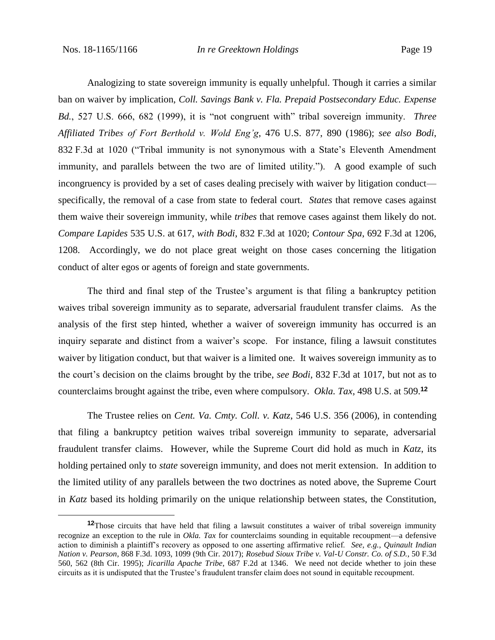Analogizing to state sovereign immunity is equally unhelpful. Though it carries a similar ban on waiver by implication, *Coll. Savings Bank v. Fla. Prepaid Postsecondary Educ. Expense Bd.*, 527 U.S. 666, 682 (1999), it is "not congruent with" tribal sovereign immunity. *Three Affiliated Tribes of Fort Berthold v. Wold Eng'g*, 476 U.S. 877, 890 (1986); *see also Bodi*, 832 F.3d at 1020 ("Tribal immunity is not synonymous with a State's Eleventh Amendment immunity, and parallels between the two are of limited utility."). A good example of such incongruency is provided by a set of cases dealing precisely with waiver by litigation conduct specifically, the removal of a case from state to federal court. *States* that remove cases against them waive their sovereign immunity, while *tribes* that remove cases against them likely do not. *Compare Lapides* 535 U.S. at 617, *with Bodi*, 832 F.3d at 1020; *Contour Spa*, 692 F.3d at 1206, 1208. Accordingly, we do not place great weight on those cases concerning the litigation conduct of alter egos or agents of foreign and state governments.

The third and final step of the Trustee's argument is that filing a bankruptcy petition waives tribal sovereign immunity as to separate, adversarial fraudulent transfer claims. As the analysis of the first step hinted, whether a waiver of sovereign immunity has occurred is an inquiry separate and distinct from a waiver's scope. For instance, filing a lawsuit constitutes waiver by litigation conduct, but that waiver is a limited one. It waives sovereign immunity as to the court's decision on the claims brought by the tribe, *see Bodi*, 832 F.3d at 1017, but not as to counterclaims brought against the tribe, even where compulsory. *Okla. Tax*, 498 U.S. at 509.**<sup>12</sup>**

The Trustee relies on *Cent. Va. Cmty. Coll. v. Katz*, 546 U.S. 356 (2006), in contending that filing a bankruptcy petition waives tribal sovereign immunity to separate, adversarial fraudulent transfer claims. However, while the Supreme Court did hold as much in *Katz*, its holding pertained only to *state* sovereign immunity, and does not merit extension. In addition to the limited utility of any parallels between the two doctrines as noted above, the Supreme Court in *Katz* based its holding primarily on the unique relationship between states, the Constitution,

**<sup>12</sup>**Those circuits that have held that filing a lawsuit constitutes a waiver of tribal sovereign immunity recognize an exception to the rule in *Okla. Tax* for counterclaims sounding in equitable recoupment—a defensive action to diminish a plaintiff's recovery as opposed to one asserting affirmative relief. *See, e.g.*, *Quinault Indian Nation v. Pearson*, 868 F.3d. 1093, 1099 (9th Cir. 2017); *Rosebud Sioux Tribe v. Val-U Constr. Co. of S.D.*, 50 F.3d 560, 562 (8th Cir. 1995); *Jicarilla Apache Tribe*, 687 F.2d at 1346. We need not decide whether to join these circuits as it is undisputed that the Trustee's fraudulent transfer claim does not sound in equitable recoupment.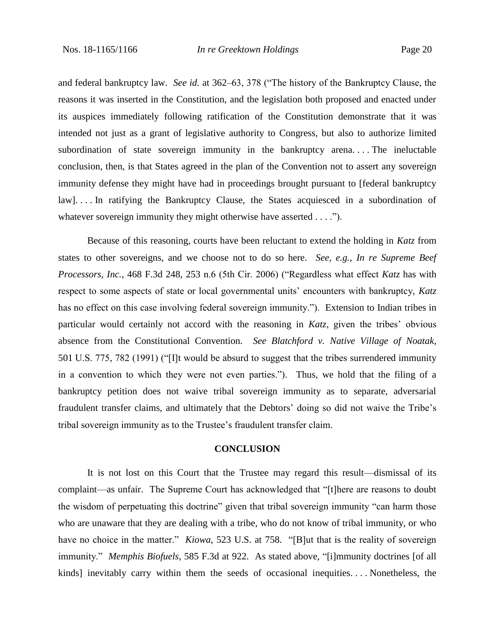and federal bankruptcy law. *See id.* at 362–63, 378 ("The history of the Bankruptcy Clause, the reasons it was inserted in the Constitution, and the legislation both proposed and enacted under its auspices immediately following ratification of the Constitution demonstrate that it was intended not just as a grant of legislative authority to Congress, but also to authorize limited subordination of state sovereign immunity in the bankruptcy arena. . . . The ineluctable conclusion, then, is that States agreed in the plan of the Convention not to assert any sovereign immunity defense they might have had in proceedings brought pursuant to [federal bankruptcy law]. . . . In ratifying the Bankruptcy Clause, the States acquiesced in a subordination of whatever sovereign immunity they might otherwise have asserted . . . .").

Because of this reasoning, courts have been reluctant to extend the holding in *Katz* from states to other sovereigns, and we choose not to do so here. *See, e.g.*, *In re Supreme Beef Processors, Inc.*, 468 F.3d 248, 253 n.6 (5th Cir. 2006) ("Regardless what effect *Katz* has with respect to some aspects of state or local governmental units' encounters with bankruptcy, *Katz*  has no effect on this case involving federal sovereign immunity."). Extension to Indian tribes in particular would certainly not accord with the reasoning in *Katz*, given the tribes' obvious absence from the Constitutional Convention. *See Blatchford v. Native Village of Noatak*, 501 U.S. 775, 782 (1991) ("[I]t would be absurd to suggest that the tribes surrendered immunity in a convention to which they were not even parties."). Thus, we hold that the filing of a bankruptcy petition does not waive tribal sovereign immunity as to separate, adversarial fraudulent transfer claims, and ultimately that the Debtors' doing so did not waive the Tribe's tribal sovereign immunity as to the Trustee's fraudulent transfer claim.

#### **CONCLUSION**

It is not lost on this Court that the Trustee may regard this result—dismissal of its complaint—as unfair. The Supreme Court has acknowledged that "[t]here are reasons to doubt the wisdom of perpetuating this doctrine" given that tribal sovereign immunity "can harm those who are unaware that they are dealing with a tribe, who do not know of tribal immunity, or who have no choice in the matter." *Kiowa*, 523 U.S. at 758. "[B]ut that is the reality of sovereign immunity." *Memphis Biofuels*, 585 F.3d at 922. As stated above, "[i]mmunity doctrines [of all kinds] inevitably carry within them the seeds of occasional inequities. . . . Nonetheless, the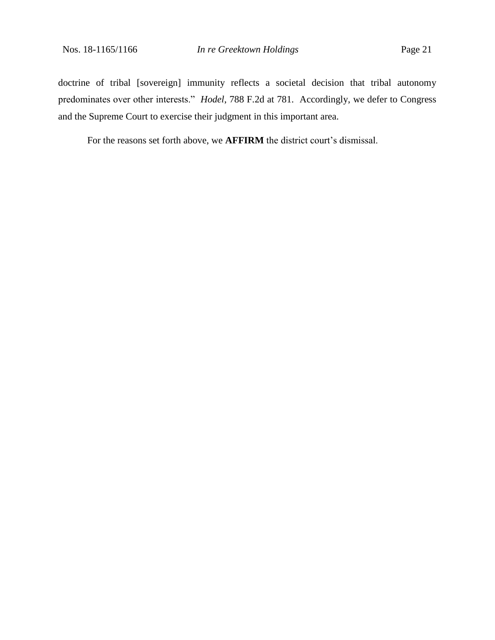doctrine of tribal [sovereign] immunity reflects a societal decision that tribal autonomy predominates over other interests." *Hodel*, 788 F.2d at 781. Accordingly, we defer to Congress and the Supreme Court to exercise their judgment in this important area.

For the reasons set forth above, we **AFFIRM** the district court's dismissal.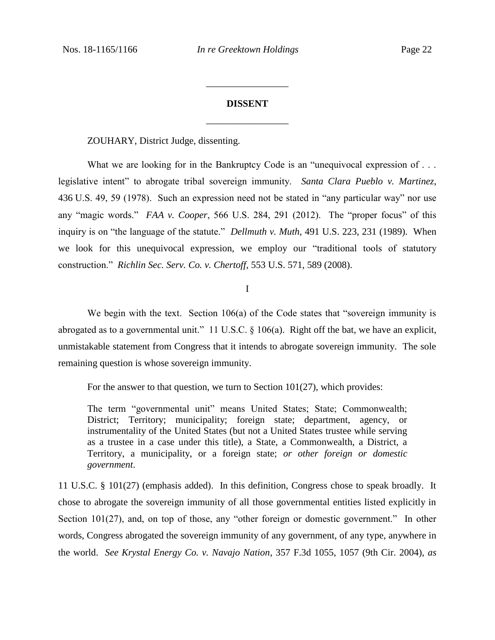# **DISSENT** \_\_\_\_\_\_\_\_\_\_\_\_\_\_\_\_\_

\_\_\_\_\_\_\_\_\_\_\_\_\_\_\_\_\_

ZOUHARY, District Judge, dissenting.

What we are looking for in the Bankruptcy Code is an "unequivocal expression of ... legislative intent" to abrogate tribal sovereign immunity. *Santa Clara Pueblo v. Martinez*, 436 U.S. 49, 59 (1978). Such an expression need not be stated in "any particular way" nor use any "magic words." *FAA v. Cooper*, 566 U.S. 284, 291 (2012). The "proper focus" of this inquiry is on "the language of the statute." *Dellmuth v. Muth*, 491 U.S. 223, 231 (1989). When we look for this unequivocal expression, we employ our "traditional tools of statutory construction." *Richlin Sec. Serv. Co. v. Chertoff*, 553 U.S. 571, 589 (2008).

I

We begin with the text. Section 106(a) of the Code states that "sovereign immunity is abrogated as to a governmental unit." 11 U.S.C.  $\frac{106(a)}{a}$ . Right off the bat, we have an explicit, unmistakable statement from Congress that it intends to abrogate sovereign immunity. The sole remaining question is whose sovereign immunity.

For the answer to that question, we turn to Section 101(27), which provides:

The term "governmental unit" means United States; State; Commonwealth; District; Territory; municipality; foreign state; department, agency, or instrumentality of the United States (but not a United States trustee while serving as a trustee in a case under this title), a State, a Commonwealth, a District, a Territory, a municipality, or a foreign state; *or other foreign or domestic government*.

11 U.S.C. § 101(27) (emphasis added). In this definition, Congress chose to speak broadly. It chose to abrogate the sovereign immunity of all those governmental entities listed explicitly in Section 101(27), and, on top of those, any "other foreign or domestic government." In other words, Congress abrogated the sovereign immunity of any government, of any type, anywhere in the world. *See Krystal Energy Co. v. Navajo Nation*, 357 F.3d 1055, 1057 (9th Cir. 2004), *as*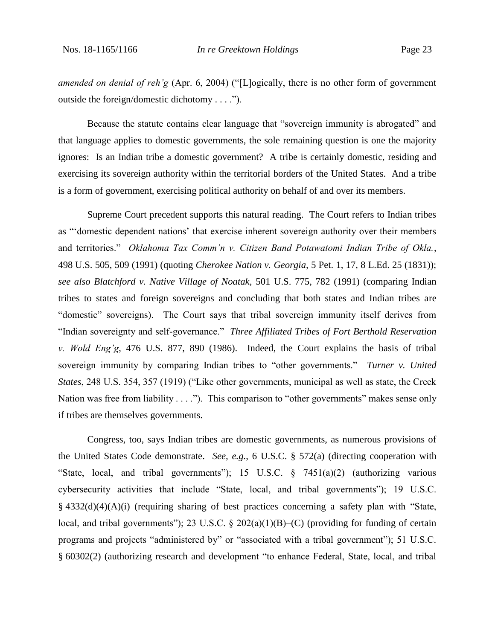*amended on denial of reh'g* (Apr. 6, 2004) ("[L]ogically, there is no other form of government outside the foreign/domestic dichotomy . . . .").

Because the statute contains clear language that "sovereign immunity is abrogated" and that language applies to domestic governments, the sole remaining question is one the majority ignores: Is an Indian tribe a domestic government? A tribe is certainly domestic, residing and exercising its sovereign authority within the territorial borders of the United States. And a tribe is a form of government, exercising political authority on behalf of and over its members.

Supreme Court precedent supports this natural reading. The Court refers to Indian tribes as "'domestic dependent nations' that exercise inherent sovereign authority over their members and territories." *Oklahoma Tax Comm'n v. Citizen Band Potawatomi Indian Tribe of Okla.*, 498 U.S. 505, 509 (1991) (quoting *Cherokee Nation v. Georgia,* 5 Pet. 1, 17, 8 L.Ed. 25 (1831)); *see also Blatchford v. Native Village of Noatak,* 501 U.S. 775, 782 (1991) (comparing Indian tribes to states and foreign sovereigns and concluding that both states and Indian tribes are "domestic" sovereigns). The Court says that tribal sovereign immunity itself derives from "Indian sovereignty and self-governance." *Three Affiliated Tribes of Fort Berthold Reservation v. Wold Eng'g*, 476 U.S. 877, 890 (1986). Indeed, the Court explains the basis of tribal sovereign immunity by comparing Indian tribes to "other governments." *Turner v. United States*, 248 U.S. 354, 357 (1919) ("Like other governments, municipal as well as state, the Creek Nation was free from liability  $\dots$ "). This comparison to "other governments" makes sense only if tribes are themselves governments.

Congress, too, says Indian tribes are domestic governments, as numerous provisions of the United States Code demonstrate. *See, e.g.*, 6 U.S.C. § 572(a) (directing cooperation with "State, local, and tribal governments"); 15 U.S.C. § 7451(a)(2) (authorizing various cybersecurity activities that include "State, local, and tribal governments"); 19 U.S.C. § 4332(d)(4)(A)(i) (requiring sharing of best practices concerning a safety plan with "State, local, and tribal governments"); 23 U.S.C. § 202(a)(1)(B)–(C) (providing for funding of certain programs and projects "administered by" or "associated with a tribal government"); 51 U.S.C. § 60302(2) (authorizing research and development "to enhance Federal, State, local, and tribal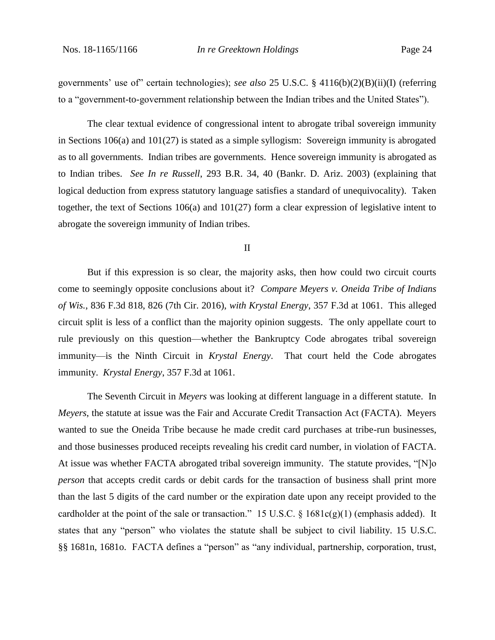governments' use of" certain technologies); *see also* 25 U.S.C. § 4116(b)(2)(B)(ii)(I) (referring to a "government-to-government relationship between the Indian tribes and the United States").

The clear textual evidence of congressional intent to abrogate tribal sovereign immunity in Sections  $106(a)$  and  $101(27)$  is stated as a simple syllogism: Sovereign immunity is abrogated as to all governments. Indian tribes are governments. Hence sovereign immunity is abrogated as to Indian tribes. *See In re Russell*, 293 B.R. 34, 40 (Bankr. D. Ariz. 2003) (explaining that logical deduction from express statutory language satisfies a standard of unequivocality). Taken together, the text of Sections 106(a) and 101(27) form a clear expression of legislative intent to abrogate the sovereign immunity of Indian tribes.

II

But if this expression is so clear, the majority asks, then how could two circuit courts come to seemingly opposite conclusions about it? *Compare Meyers v. Oneida Tribe of Indians of Wis.*, 836 F.3d 818, 826 (7th Cir. 2016), *with Krystal Energy*, 357 F.3d at 1061. This alleged circuit split is less of a conflict than the majority opinion suggests. The only appellate court to rule previously on this question—whether the Bankruptcy Code abrogates tribal sovereign immunity—is the Ninth Circuit in *Krystal Energy*. That court held the Code abrogates immunity. *Krystal Energy*, 357 F.3d at 1061.

The Seventh Circuit in *Meyers* was looking at different language in a different statute. In *Meyers*, the statute at issue was the Fair and Accurate Credit Transaction Act (FACTA). Meyers wanted to sue the Oneida Tribe because he made credit card purchases at tribe-run businesses, and those businesses produced receipts revealing his credit card number, in violation of FACTA. At issue was whether FACTA abrogated tribal sovereign immunity. The statute provides, "[N]o *person* that accepts credit cards or debit cards for the transaction of business shall print more than the last 5 digits of the card number or the expiration date upon any receipt provided to the cardholder at the point of the sale or transaction." 15 U.S.C. § 1681c(g)(1) (emphasis added). It states that any "person" who violates the statute shall be subject to civil liability. 15 U.S.C. §§ 1681n, 1681o. FACTA defines a "person" as "any individual, partnership, corporation, trust,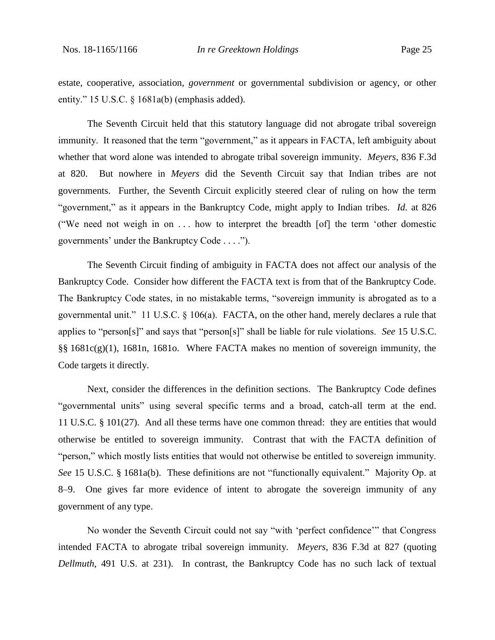estate, cooperative, association, *government* or governmental subdivision or agency, or other entity." 15 U.S.C. § 1681a(b) (emphasis added).

The Seventh Circuit held that this statutory language did not abrogate tribal sovereign immunity. It reasoned that the term "government," as it appears in FACTA, left ambiguity about whether that word alone was intended to abrogate tribal sovereign immunity. *Meyers*, 836 F.3d at 820. But nowhere in *Meyers* did the Seventh Circuit say that Indian tribes are not governments. Further, the Seventh Circuit explicitly steered clear of ruling on how the term "government," as it appears in the Bankruptcy Code, might apply to Indian tribes. *Id.* at 826 ("We need not weigh in on . . . how to interpret the breadth [of] the term 'other domestic governments' under the Bankruptcy Code . . . .").

The Seventh Circuit finding of ambiguity in FACTA does not affect our analysis of the Bankruptcy Code. Consider how different the FACTA text is from that of the Bankruptcy Code. The Bankruptcy Code states, in no mistakable terms, "sovereign immunity is abrogated as to a governmental unit." 11 U.S.C. § 106(a). FACTA, on the other hand, merely declares a rule that applies to "person[s]" and says that "person[s]" shall be liable for rule violations. *See* 15 U.S.C. §§ 1681c(g)(1), 1681n, 1681o. Where FACTA makes no mention of sovereign immunity, the Code targets it directly.

Next, consider the differences in the definition sections. The Bankruptcy Code defines "governmental units" using several specific terms and a broad, catch-all term at the end. 11 U.S.C. § 101(27). And all these terms have one common thread: they are entities that would otherwise be entitled to sovereign immunity. Contrast that with the FACTA definition of "person," which mostly lists entities that would not otherwise be entitled to sovereign immunity. *See* 15 U.S.C. § 1681a(b). These definitions are not "functionally equivalent." Majority Op. at 8–9. One gives far more evidence of intent to abrogate the sovereign immunity of any government of any type.

No wonder the Seventh Circuit could not say "with 'perfect confidence'" that Congress intended FACTA to abrogate tribal sovereign immunity. *Meyers*, 836 F.3d at 827 (quoting *Dellmuth*, 491 U.S. at 231). In contrast, the Bankruptcy Code has no such lack of textual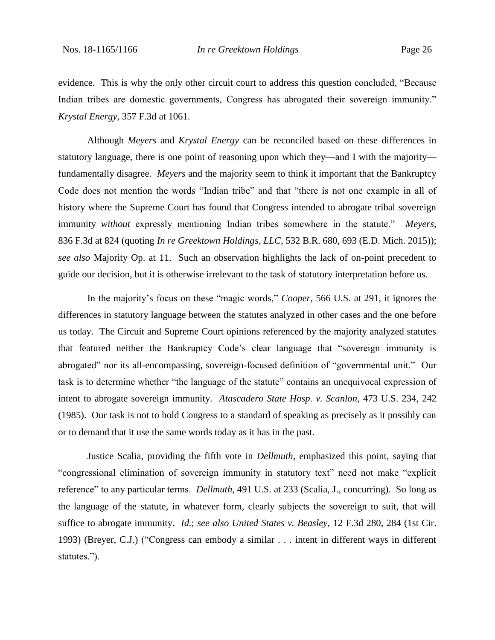evidence. This is why the only other circuit court to address this question concluded, "Because Indian tribes are domestic governments, Congress has abrogated their sovereign immunity." *Krystal Energy*, 357 F.3d at 1061.

Although *Meyers* and *Krystal Energy* can be reconciled based on these differences in statutory language, there is one point of reasoning upon which they—and I with the majority fundamentally disagree. *Meyers* and the majority seem to think it important that the Bankruptcy Code does not mention the words "Indian tribe" and that "there is not one example in all of history where the Supreme Court has found that Congress intended to abrogate tribal sovereign immunity *without* expressly mentioning Indian tribes somewhere in the statute." *Meyers*, 836 F.3d at 824 (quoting *In re Greektown Holdings*, *LLC*, 532 B.R. 680, 693 (E.D. Mich. 2015)); *see also* Majority Op. at 11. Such an observation highlights the lack of on-point precedent to guide our decision, but it is otherwise irrelevant to the task of statutory interpretation before us.

In the majority's focus on these "magic words," *Cooper*, 566 U.S. at 291, it ignores the differences in statutory language between the statutes analyzed in other cases and the one before us today. The Circuit and Supreme Court opinions referenced by the majority analyzed statutes that featured neither the Bankruptcy Code's clear language that "sovereign immunity is abrogated" nor its all-encompassing, sovereign-focused definition of "governmental unit." Our task is to determine whether "the language of the statute" contains an unequivocal expression of intent to abrogate sovereign immunity. *Atascadero State Hosp. v. Scanlon*, 473 U.S. 234, 242 (1985). Our task is not to hold Congress to a standard of speaking as precisely as it possibly can or to demand that it use the same words today as it has in the past.

Justice Scalia, providing the fifth vote in *Dellmuth*, emphasized this point, saying that "congressional elimination of sovereign immunity in statutory text" need not make "explicit reference" to any particular terms. *Dellmuth*, 491 U.S. at 233 (Scalia, J., concurring). So long as the language of the statute, in whatever form, clearly subjects the sovereign to suit, that will suffice to abrogate immunity. *Id.*; *see also United States v. Beasley*, 12 F.3d 280, 284 (1st Cir. 1993) (Breyer, C.J.) ("Congress can embody a similar . . . intent in different ways in different statutes.").